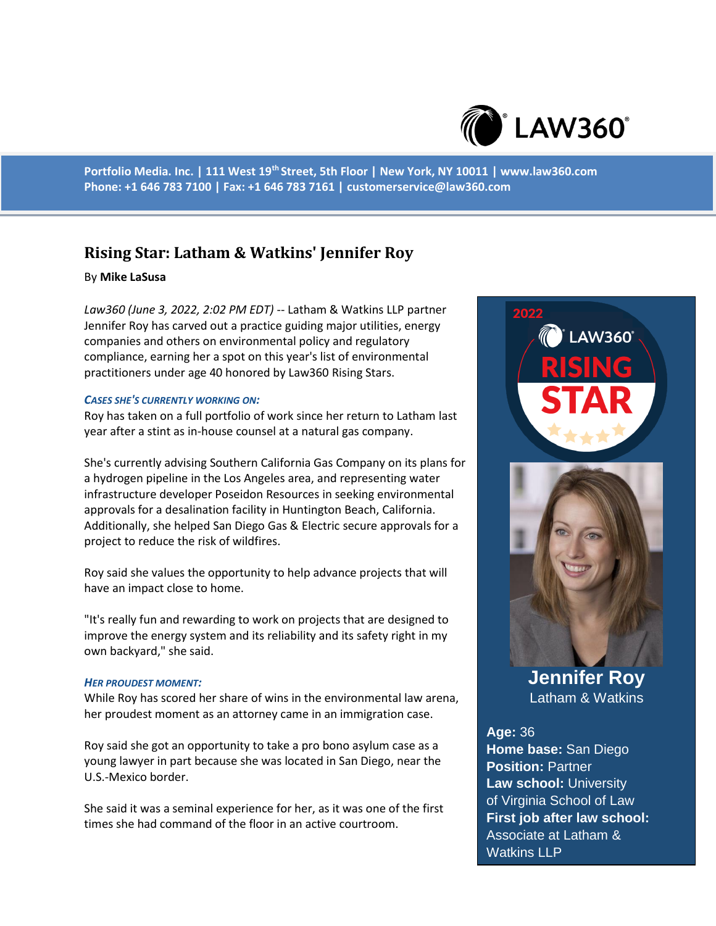

**Portfolio Media. Inc. | 111 West 19th Street, 5th Floor | New York, NY 10011 | www.law360.com Phone: +1 646 783 7100 | Fax: +1 646 783 7161 | customerservice@law360.com**

# **Rising Star: Latham & Watkins' Jennifer Roy**

#### By **Mike LaSusa**

*Law360 (June 3, 2022, 2:02 PM EDT)* -- Latham & Watkins LLP partner Jennifer Roy has carved out a practice guiding major utilities, energy companies and others on environmental policy and regulatory compliance, earning her a spot on this year's list of environmental practitioners under age 40 honored by Law360 Rising Stars.

#### *CASES SHE'S CURRENTLY WORKING ON:*

Roy has taken on a full portfolio of work since her return to Latham last year after a stint as in-house counsel at a natural gas company.

She's currently advising Southern California Gas Company on its plans for a hydrogen pipeline in the Los Angeles area, and representing water infrastructure developer Poseidon Resources in seeking environmental approvals for a desalination facility in Huntington Beach, California. Additionally, she helped San Diego Gas & Electric secure approvals for a project to reduce the risk of wildfires.

Roy said she values the opportunity to help advance projects that will have an impact close to home.

"It's really fun and rewarding to work on projects that are designed to improve the energy system and its reliability and its safety right in my own backyard," she said.

#### *HER PROUDEST MOMENT:*

While Roy has scored her share of wins in the environmental law arena, her proudest moment as an attorney came in an immigration case.

Roy said she got an opportunity to take a pro bono asylum case as a young lawyer in part because she was located in San Diego, near the U.S.-Mexico border.

She said it was a seminal experience for her, as it was one of the first times she had command of the floor in an active courtroom.





**Jennifer Roy** Latham & Watkins

## **Age:** 36

**Home base:** San Diego **Position:** Partner **Law school:** University of Virginia School of Law **First job after law school:** Associate at Latham & Watkins LLP